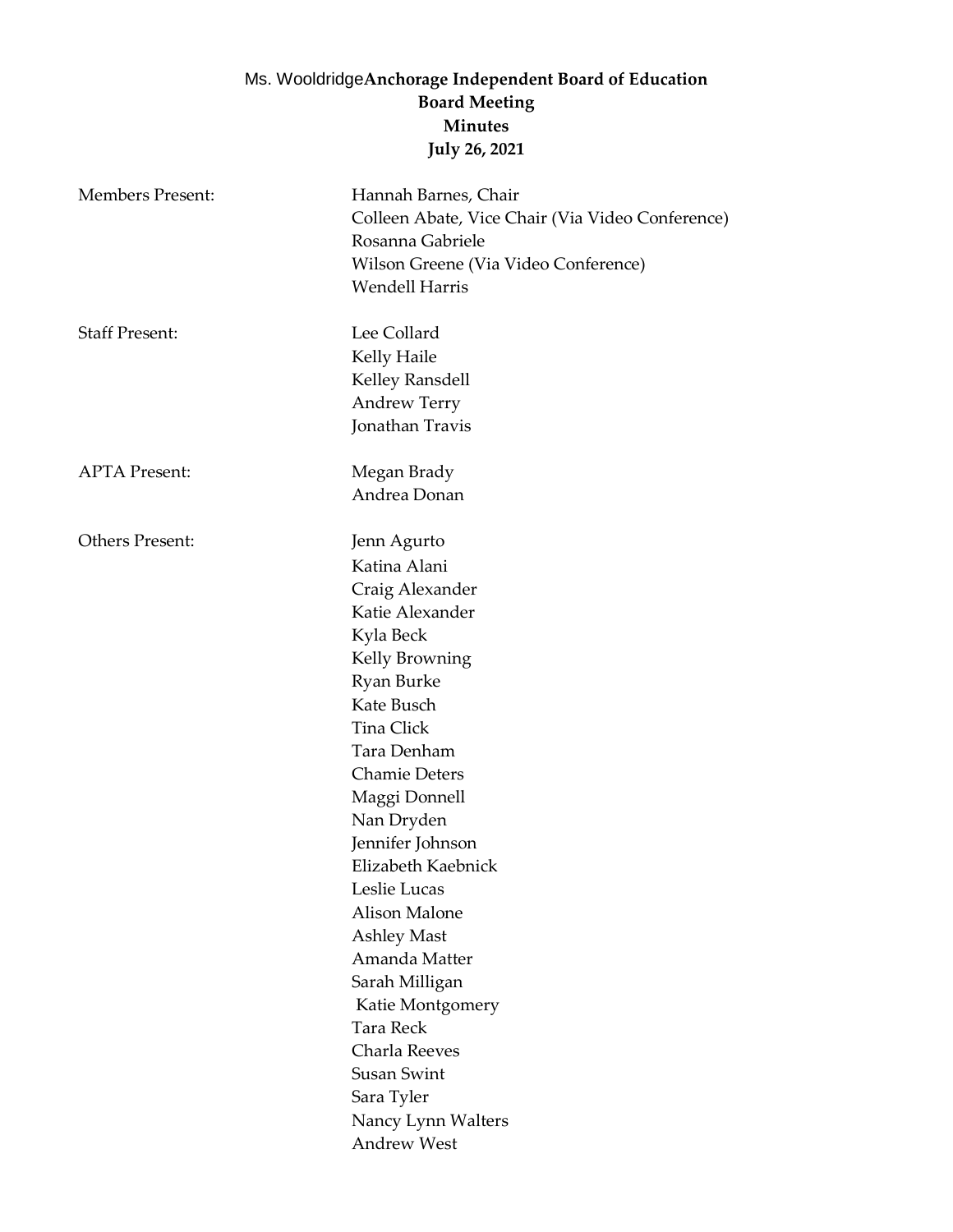## Ms. Wooldridge**Anchorage Independent Board of Education Board Meeting Minutes July 26, 2021**

| <b>Members Present:</b> | Hannah Barnes, Chair<br>Colleen Abate, Vice Chair (Via Video Conference)<br>Rosanna Gabriele<br>Wilson Greene (Via Video Conference)<br><b>Wendell Harris</b>                                                                                                                                                                                                                                                                       |
|-------------------------|-------------------------------------------------------------------------------------------------------------------------------------------------------------------------------------------------------------------------------------------------------------------------------------------------------------------------------------------------------------------------------------------------------------------------------------|
| <b>Staff Present:</b>   | Lee Collard<br>Kelly Haile<br>Kelley Ransdell<br><b>Andrew Terry</b><br>Jonathan Travis                                                                                                                                                                                                                                                                                                                                             |
| <b>APTA Present:</b>    | Megan Brady<br>Andrea Donan                                                                                                                                                                                                                                                                                                                                                                                                         |
| Others Present:         | Jenn Agurto<br>Katina Alani<br>Craig Alexander<br>Katie Alexander<br>Kyla Beck<br>Kelly Browning<br>Ryan Burke<br>Kate Busch<br>Tina Click<br>Tara Denham<br><b>Chamie Deters</b><br>Maggi Donnell<br>Nan Dryden<br>Jennifer Johnson<br>Elizabeth Kaebnick<br>Leslie Lucas<br><b>Alison Malone</b><br>Ashley Mast<br>Amanda Matter<br>Sarah Milligan<br>Katie Montgomery<br><b>Tara Reck</b><br>Charla Reeves<br><b>Susan Swint</b> |
|                         | Sara Tyler<br>Nancy Lynn Walters<br>Andrew West                                                                                                                                                                                                                                                                                                                                                                                     |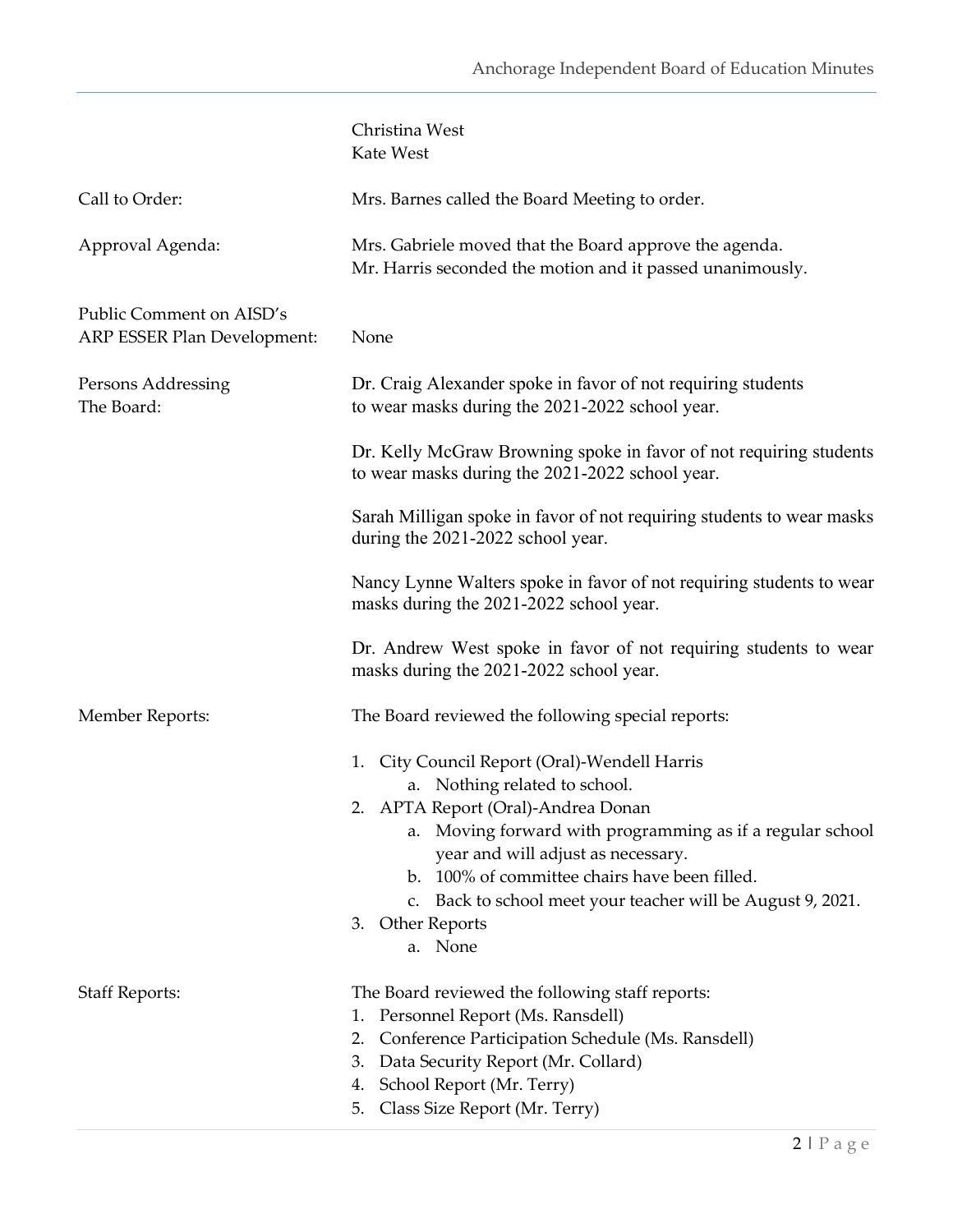|                                                         | Christina West<br>Kate West                                                                                                                                                                                                                                                                                                                                                 |
|---------------------------------------------------------|-----------------------------------------------------------------------------------------------------------------------------------------------------------------------------------------------------------------------------------------------------------------------------------------------------------------------------------------------------------------------------|
| Call to Order:                                          | Mrs. Barnes called the Board Meeting to order.                                                                                                                                                                                                                                                                                                                              |
| Approval Agenda:                                        | Mrs. Gabriele moved that the Board approve the agenda.<br>Mr. Harris seconded the motion and it passed unanimously.                                                                                                                                                                                                                                                         |
| Public Comment on AISD's<br>ARP ESSER Plan Development: | None                                                                                                                                                                                                                                                                                                                                                                        |
| Persons Addressing<br>The Board:                        | Dr. Craig Alexander spoke in favor of not requiring students<br>to wear masks during the 2021-2022 school year.                                                                                                                                                                                                                                                             |
|                                                         | Dr. Kelly McGraw Browning spoke in favor of not requiring students<br>to wear masks during the 2021-2022 school year.                                                                                                                                                                                                                                                       |
|                                                         | Sarah Milligan spoke in favor of not requiring students to wear masks<br>during the 2021-2022 school year.                                                                                                                                                                                                                                                                  |
|                                                         | Nancy Lynne Walters spoke in favor of not requiring students to wear<br>masks during the 2021-2022 school year.                                                                                                                                                                                                                                                             |
|                                                         | Dr. Andrew West spoke in favor of not requiring students to wear<br>masks during the 2021-2022 school year.                                                                                                                                                                                                                                                                 |
| Member Reports:                                         | The Board reviewed the following special reports:                                                                                                                                                                                                                                                                                                                           |
|                                                         | City Council Report (Oral)-Wendell Harris<br>1.<br>a. Nothing related to school.<br>2. APTA Report (Oral)-Andrea Donan<br>Moving forward with programming as if a regular school<br>year and will adjust as necessary.<br>b. 100% of committee chairs have been filled.<br>Back to school meet your teacher will be August 9, 2021.<br>C.<br>Other Reports<br>3.<br>a. None |
| <b>Staff Reports:</b>                                   | The Board reviewed the following staff reports:<br>Personnel Report (Ms. Ransdell)<br>1.<br>Conference Participation Schedule (Ms. Ransdell)<br>2.<br>Data Security Report (Mr. Collard)<br>3.<br>School Report (Mr. Terry)<br>4.<br>Class Size Report (Mr. Terry)<br>5.                                                                                                    |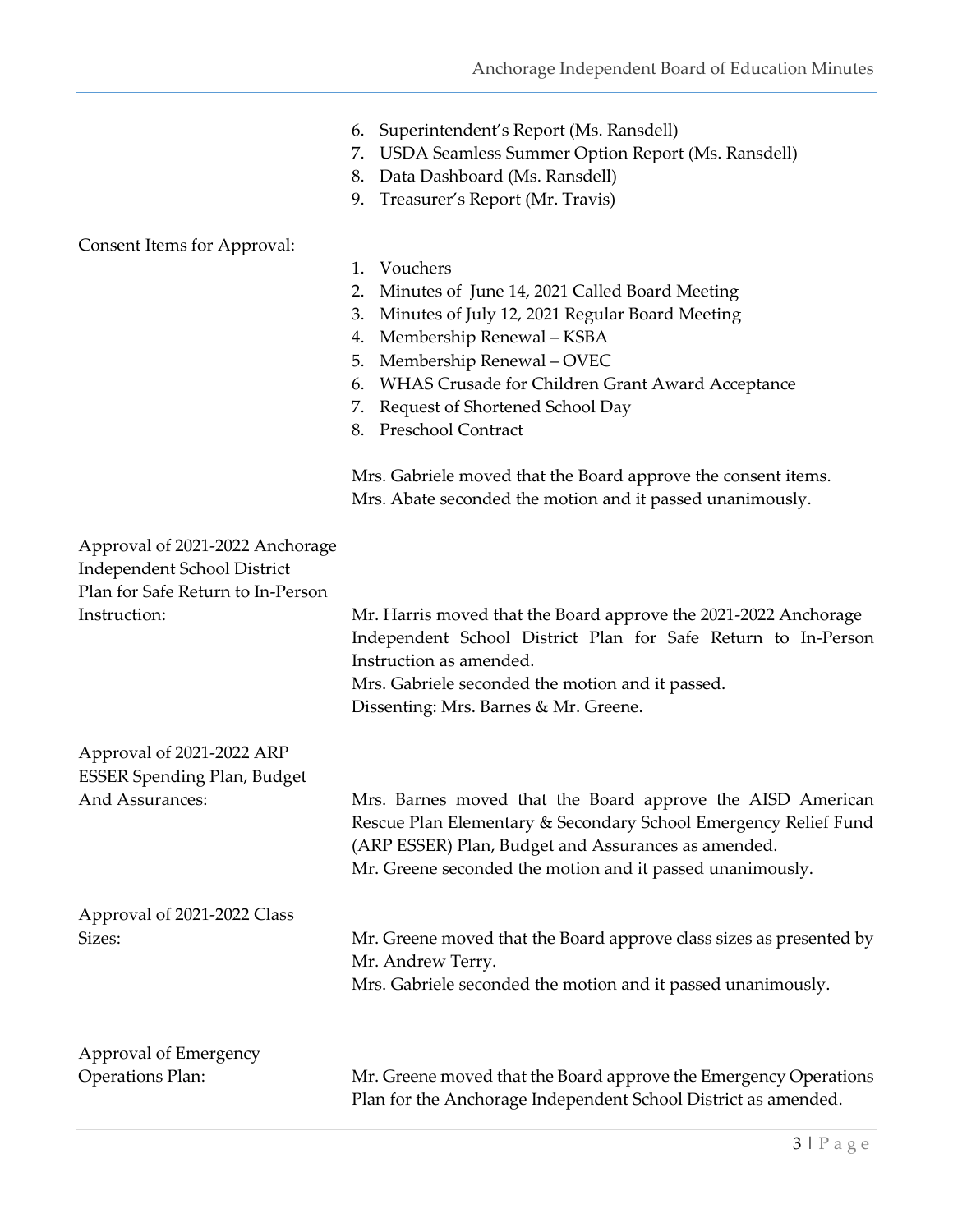|  | 6. Superintendent's Report (Ms. Ransdell) |  |
|--|-------------------------------------------|--|
|--|-------------------------------------------|--|

- 7. USDA Seamless Summer Option Report (Ms. Ransdell)
- 8. Data Dashboard (Ms. Ransdell)
- 9. Treasurer's Report (Mr. Travis)

## Consent Items for Approval:

1. Vouchers 2. Minutes of June 14, 2021 Called Board Meeting 3. Minutes of July 12, 2021 Regular Board Meeting 4. Membership Renewal – KSBA 5. Membership Renewal – OVEC 6. WHAS Crusade for Children Grant Award Acceptance 7. Request of Shortened School Day 8. Preschool Contract Mrs. Gabriele moved that the Board approve the consent items. Mrs. Abate seconded the motion and it passed unanimously. Approval of 2021-2022 Anchorage Independent School District Plan for Safe Return to In-Person Instruction: Mr. Harris moved that the Board approve the 2021-2022 Anchorage Independent School District Plan for Safe Return to In-Person Instruction as amended. Mrs. Gabriele seconded the motion and it passed. Dissenting: Mrs. Barnes & Mr. Greene. Approval of 2021-2022 ARP ESSER Spending Plan, Budget And Assurances: Mrs. Barnes moved that the Board approve the AISD American Rescue Plan Elementary & Secondary School Emergency Relief Fund (ARP ESSER) Plan, Budget and Assurances as amended. Mr. Greene seconded the motion and it passed unanimously. Approval of 2021-2022 Class Sizes: Mr. Greene moved that the Board approve class sizes as presented by Mr. Andrew Terry. Mrs. Gabriele seconded the motion and it passed unanimously. Approval of Emergency Operations Plan: Mr. Greene moved that the Board approve the Emergency Operations Plan for the Anchorage Independent School District as amended.